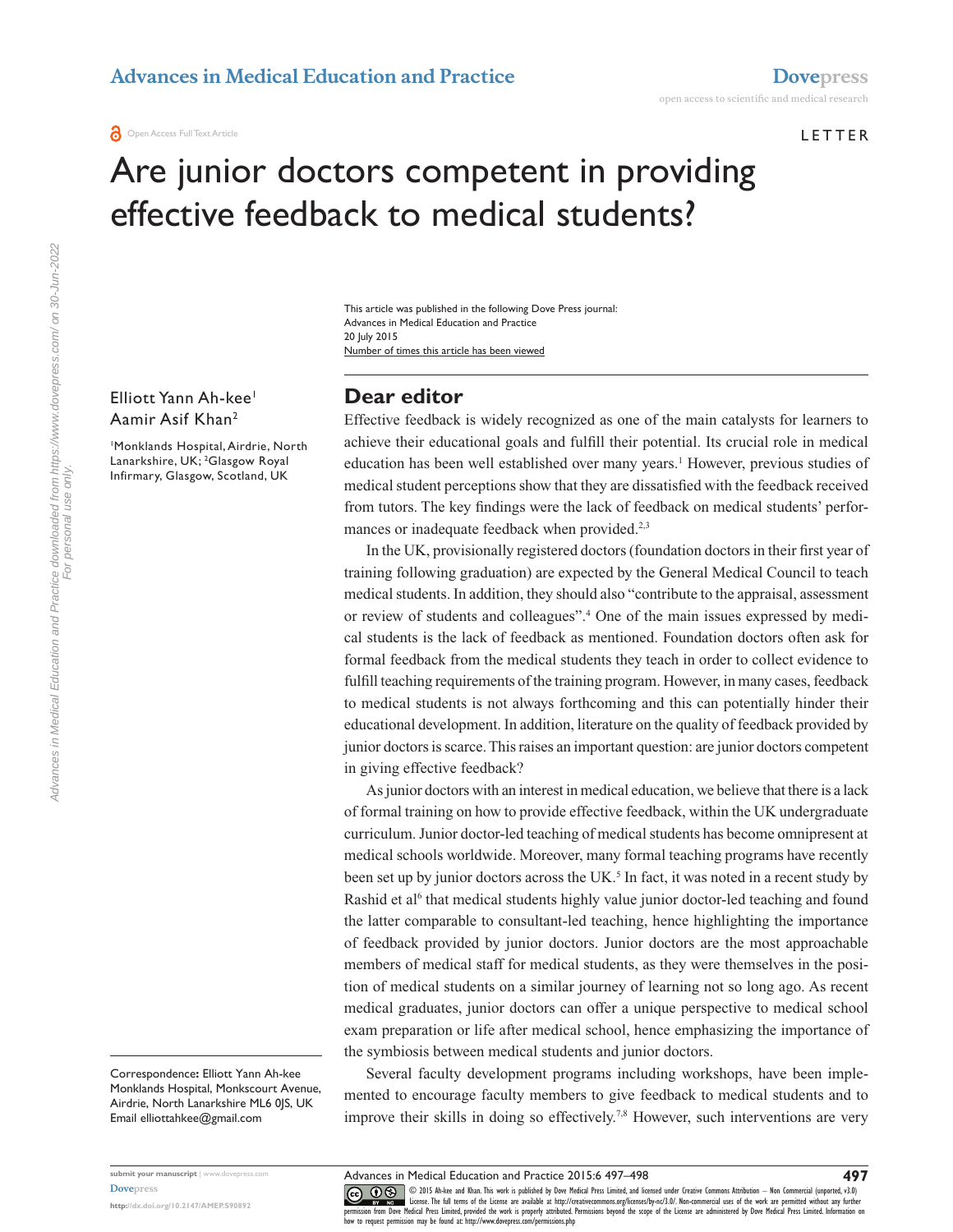**O** Open Access Full Text Article

#### **LETTER**

# Are junior doctors competent in providing effective feedback to medical students?

Number of times this article has been viewed This article was published in the following Dove Press journal: Advances in Medical Education and Practice 20 July 2015

Elliott Yann Ah-kee<sup>1</sup> Aamir Asif Khan2

1 Monklands Hospital, Airdrie, North Lanarkshire, UK; 2 Glasgow Royal Infirmary, Glasgow, Scotland, UK

# **Dear editor**

Effective feedback is widely recognized as one of the main catalysts for learners to achieve their educational goals and fulfill their potential. Its crucial role in medical education has been well established over many years.<sup>1</sup> However, previous studies of medical student perceptions show that they are dissatisfied with the feedback received from tutors. The key findings were the lack of feedback on medical students' performances or inadequate feedback when provided.<sup>2,3</sup>

In the UK, provisionally registered doctors (foundation doctors in their first year of training following graduation) are expected by the General Medical Council to teach medical students. In addition, they should also "contribute to the appraisal, assessment or review of students and colleagues".4 One of the main issues expressed by medical students is the lack of feedback as mentioned. Foundation doctors often ask for formal feedback from the medical students they teach in order to collect evidence to fulfill teaching requirements of the training program. However, in many cases, feedback to medical students is not always forthcoming and this can potentially hinder their educational development. In addition, literature on the quality of feedback provided by junior doctors is scarce. This raises an important question: are junior doctors competent in giving effective feedback?

As junior doctors with an interest in medical education, we believe that there is a lack of formal training on how to provide effective feedback, within the UK undergraduate curriculum. Junior doctor-led teaching of medical students has become omnipresent at medical schools worldwide. Moreover, many formal teaching programs have recently been set up by junior doctors across the UK.<sup>5</sup> In fact, it was noted in a recent study by Rashid et al<sup>6</sup> that medical students highly value junior doctor-led teaching and found the latter comparable to consultant-led teaching, hence highlighting the importance of feedback provided by junior doctors. Junior doctors are the most approachable members of medical staff for medical students, as they were themselves in the position of medical students on a similar journey of learning not so long ago. As recent medical graduates, junior doctors can offer a unique perspective to medical school exam preparation or life after medical school, hence emphasizing the importance of the symbiosis between medical students and junior doctors.

Several faculty development programs including workshops, have been implemented to encourage faculty members to give feedback to medical students and to improve their skills in doing so effectively.<sup>7,8</sup> However, such interventions are very

**[Dovepress](www.dovepress.com)**

**submit your manuscript** | <www.dovepress.com>

**<http://dx.doi.org/10.2147/AMEP.S90892>**

Advances in Medical Education and Practice downloaded from https://www.dovepress.com/ on 30-Jun-2022 Advances in Medical Education and Practice downloaded from https://www.dovepress.com/ on 30-Jun-2022 For personal use only. For personal use only

CO OD 15 Ah-lee and Khan. This work is published by Dove Medical Press Limited, and licensed under Creative Commons Attribution - Non Commercial (unported, v3.0)<br> [permission from Dove M](http://www.dovepress.com/permissions.php)edical Press Limited, provided the wo how to request permission may be found at:<http://www.dovepress.com/permissions.php>

Correspondence**:** Elliott Yann Ah-kee Monklands Hospital, Monkscourt Avenue, Airdrie, North Lanarkshire ML6 0JS, UK Email [elliottahkee@gmail.com](mailto:elliottahkee@gmail.com)